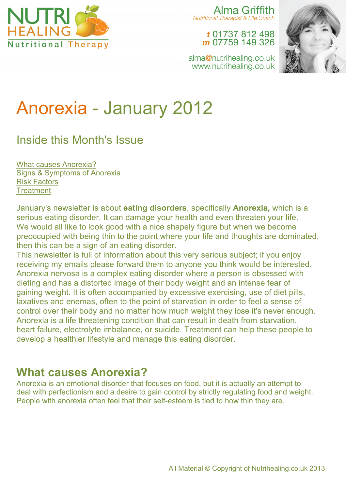

Alma Griffith Nutritional Therapist & Life Coach

> t 01737 812 498 m 07759 149 326



alma@nutrihealing.co.uk www.nutrihealing.co.uk

# Anorexia - January 2012

# Inside this Month's Issue

What causes Anorexia? Signs & Symptoms of Anorexia Risk Factors **Treatment** 

January's newsletter is about **eating disorders**, specifically **Anorexia,** which is a serious eating disorder. It can damage your health and even threaten your life. We would all like to look good with a nice shapely figure but when we become preoccupied with being thin to the point where your life and thoughts are dominated, then this can be a sign of an eating disorder.

This newsletter is full of information about this very serious subject; if you enjoy receiving my emails please forward them to anyone you think would be interested. Anorexia nervosa is a complex eating disorder where a person is obsessed with dieting and has a distorted image of their body weight and an intense fear of gaining weight. It is often accompanied by excessive exercising, use of diet pills, laxatives and enemas, often to the point of starvation in order to feel a sense of control over their body and no matter how much weight they lose it's never enough. Anorexia is a life threatening condition that can result in death from starvation, heart failure, electrolyte imbalance, or suicide. Treatment can help these people to develop a healthier lifestyle and manage this eating disorder.

#### **What causes Anorexia?**

Anorexia is an emotional disorder that focuses on food, but it is actually an attempt to deal with perfectionism and a desire to gain control by strictly regulating food and weight. People with anorexia often feel that their self-esteem is tied to how thin they are.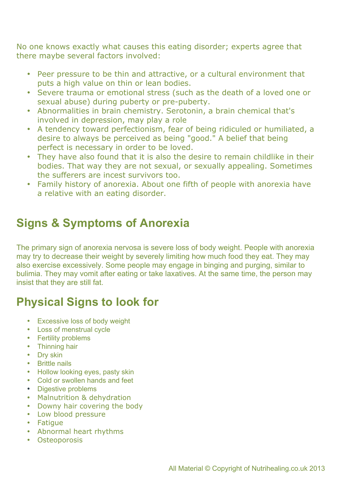No one knows exactly what causes this eating disorder; experts agree that there maybe several factors involved:

- Peer pressure to be thin and attractive, or a cultural environment that puts a high value on thin or lean bodies.
- Severe trauma or emotional stress (such as the death of a loved one or sexual abuse) during puberty or pre-puberty.
- Abnormalities in brain chemistry. Serotonin, a brain chemical that's involved in depression, may play a role
- A tendency toward perfectionism, fear of being ridiculed or humiliated, a desire to always be perceived as being "good." A belief that being perfect is necessary in order to be loved.
- They have also found that it is also the desire to remain childlike in their bodies. That way they are not sexual, or sexually appealing. Sometimes the sufferers are incest survivors too.
- Family history of anorexia. About one fifth of people with anorexia have a relative with an eating disorder.

# **Signs & Symptoms of Anorexia**

The primary sign of anorexia nervosa is severe loss of body weight. People with anorexia may try to decrease their weight by severely limiting how much food they eat. They may also exercise excessively. Some people may engage in binging and purging, similar to bulimia. They may vomit after eating or take laxatives. At the same time, the person may insist that they are still fat.

# **Physical Signs to look for**

- Excessive loss of body weight
- Loss of menstrual cycle
- Fertility problems
- Thinning hair
- Dry skin
- Brittle nails
- Hollow looking eyes, pasty skin
- Cold or swollen hands and feet
- Digestive problems
- Malnutrition & dehydration
- Downy hair covering the body
- Low blood pressure
- Fatigue
- Abnormal heart rhythms
- Osteoporosis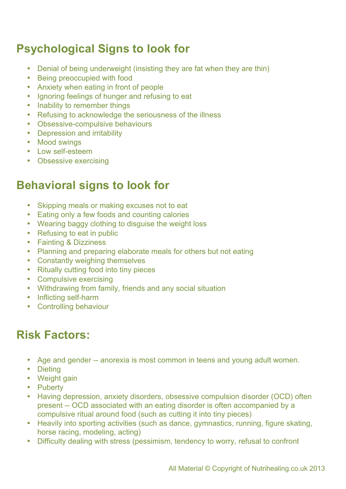# **Psychological Signs to look for**

- Denial of being underweight (insisting they are fat when they are thin)
- Being preoccupied with food
- Anxiety when eating in front of people
- Ignoring feelings of hunger and refusing to eat
- Inability to remember things
- Refusing to acknowledge the seriousness of the illness
- Obsessive-compulsive behaviours
- Depression and irritability
- Mood swings
- Low self-esteem
- Obsessive exercising

#### **Behavioral signs to look for**

- Skipping meals or making excuses not to eat
- Eating only a few foods and counting calories
- Wearing baggy clothing to disguise the weight loss
- Refusing to eat in public
- Fainting & Dizziness
- Planning and preparing elaborate meals for others but not eating
- Constantly weighing themselves
- Ritually cutting food into tiny pieces
- Compulsive exercising
- Withdrawing from family, friends and any social situation
- Inflicting self-harm
- Controlling behaviour

## **Risk Factors:**

- Age and gender -- anorexia is most common in teens and young adult women.
- Dieting
- Weight gain
- Puberty
- Having depression, anxiety disorders, obsessive compulsion disorder (OCD) often present -- OCD associated with an eating disorder is often accompanied by a compulsive ritual around food (such as cutting it into tiny pieces)
- Heavily into sporting activities (such as dance, gymnastics, running, figure skating, horse racing, modeling, acting)
- Difficulty dealing with stress (pessimism, tendency to worry, refusal to confront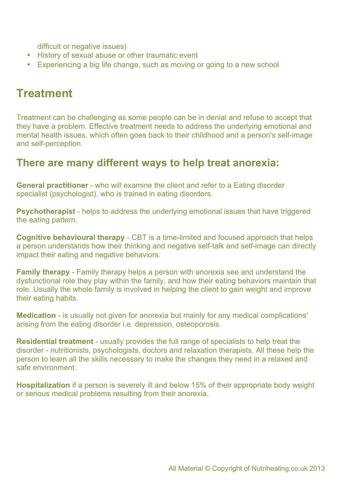difficult or negative issues)

- History of sexual abuse or other traumatic event
- Experiencing a big life change, such as moving or going to a new school

# **Treatment**

Treatment can be challenging as some people can be in denial and refuse to accept that they have a problem. Effective treatment needs to address the underlying emotional and mental health issues, which often goes back to their childhood and a person's self-image and self-perception.

#### **There are many different ways to help treat anorexia:**

**General practitioner** - who will examine the client and refer to a Eating disorder specialist (psychologist), who is trained in eating disorders.

**Psychotherapist** - helps to address the underlying emotional issues that have triggered the eating pattern.

**Cognitive behavioural therapy** - CBT is a time-limited and focused approach that helps a person understands how their thinking and negative self-talk and self-image can directly impact their eating and negative behaviors.

**Family therapy** - Family therapy helps a person with anorexia see and understand the dysfunctional role they play within the family, and how their eating behaviors maintain that role. Usually the whole family is involved in helping the client to gain weight and improve their eating habits.

**Medication** - is usually not given for anorexia but mainly for any medical complications' arising from the eating disorder i.e. depression, osteoporosis.

**Residential treatment** - usually provides the full range of specialists to help treat the disorder - nutritionists, psychologists, doctors and relaxation therapists. All these help the person to learn all the skills necessary to make the changes they need in a relaxed and safe environment.

**Hospitalization** if a person is severely ill and below 15% of their appropriate body weight or serious medical problems resulting from their anorexia.